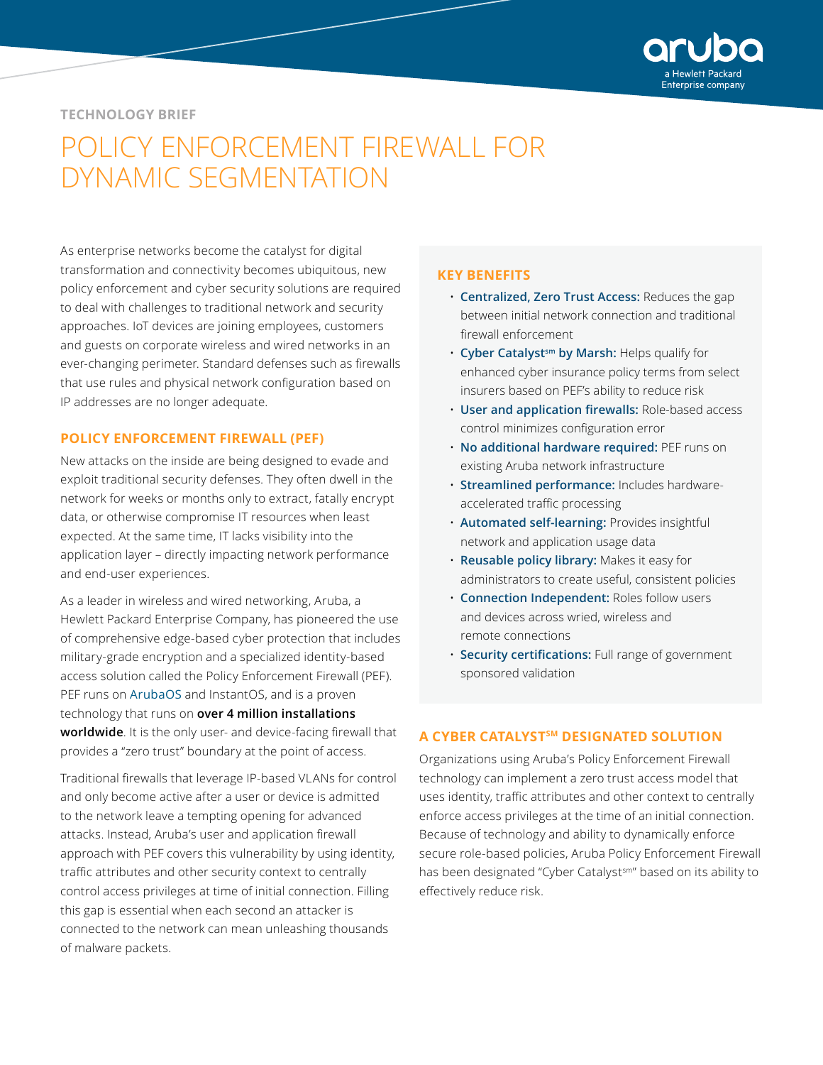

#### **TECHNOLOGY BRIEF**

# POLICY ENFORCEMENT FIREWALL FOR DYNAMIC SEGMENTATION

As enterprise networks become the catalyst for digital transformation and connectivity becomes ubiquitous, new policy enforcement and cyber security solutions are required to deal with challenges to traditional network and security approaches. IoT devices are joining employees, customers and guests on corporate wireless and wired networks in an ever-changing perimeter. Standard defenses such as firewalls that use rules and physical network configuration based on IP addresses are no longer adequate.

#### **POLICY ENFORCEMENT FIREWALL (PEF)**

New attacks on the inside are being designed to evade and exploit traditional security defenses. They often dwell in the network for weeks or months only to extract, fatally encrypt data, or otherwise compromise IT resources when least expected. At the same time, IT lacks visibility into the application layer – directly impacting network performance and end-user experiences.

As a leader in wireless and wired networking, Aruba, a Hewlett Packard Enterprise Company, has pioneered the use of comprehensive edge-based cyber protection that includes military-grade encryption and a specialized identity-based access solution called the Policy Enforcement Firewall (PEF). PEF runs on [ArubaOS](https://www.arubanetworks.com/products/networking/arubaos/) and InstantOS, and is a proven technology that runs on **over 4 million installations worldwide**. It is the only user- and device-facing firewall that provides a "zero trust" boundary at the point of access.

Traditional firewalls that leverage IP-based VLANs for control and only become active after a user or device is admitted to the network leave a tempting opening for advanced attacks. Instead, Aruba's user and application firewall approach with PEF covers this vulnerability by using identity, traffic attributes and other security context to centrally control access privileges at time of initial connection. Filling this gap is essential when each second an attacker is connected to the network can mean unleashing thousands of malware packets.

#### **KEY BENEFITS**

- **Centralized, Zero Trust Access:** Reduces the gap between initial network connection and traditional firewall enforcement
- **Cyber Catalystsm by Marsh:** Helps qualify for enhanced cyber insurance policy terms from select insurers based on PEF's ability to reduce risk
- **User and application firewalls:** Role-based access control minimizes configuration error
- **No additional hardware required:** PEF runs on existing Aruba network infrastructure
- **Streamlined performance:** Includes hardwareaccelerated traffic processing
- **Automated self-learning:** Provides insightful network and application usage data
- **Reusable policy library:** Makes it easy for administrators to create useful, consistent policies
- **Connection Independent:** Roles follow users and devices across wried, wireless and remote connections
- **Security certifications:** Full range of government sponsored validation

## **A CYBER CATALYSTSM DESIGNATED SOLUTION**

Organizations using Aruba's Policy Enforcement Firewall technology can implement a zero trust access model that uses identity, traffic attributes and other context to centrally enforce access privileges at the time of an initial connection. Because of technology and ability to dynamically enforce secure role-based policies, Aruba Policy Enforcement Firewall has been designated "Cyber Catalyst<sup>sm</sup>" based on its ability to effectively reduce risk.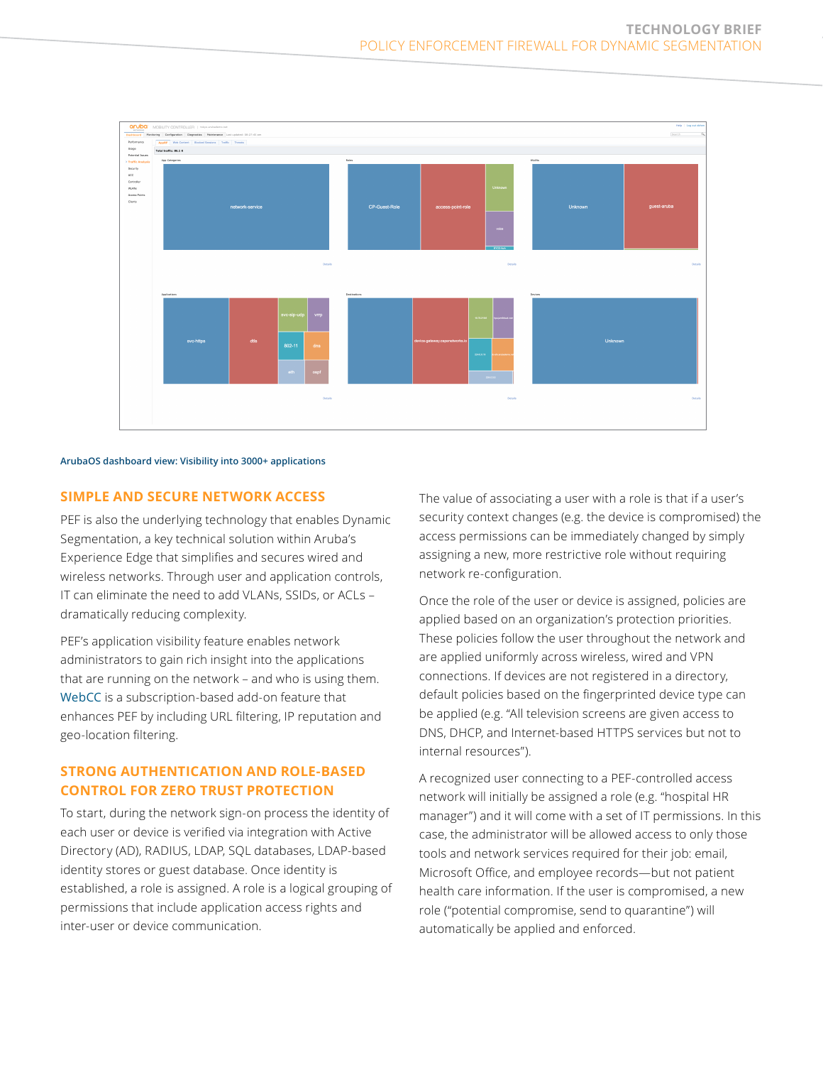

#### **ArubaOS dashboard view: Visibility into 3000+ applications**

#### **SIMPLE AND SECURE NETWORK ACCESS**

PEF is also the underlying technology that enables Dynamic Segmentation, a key technical solution within Aruba's Experience Edge that simplifies and secures wired and wireless networks. Through user and application controls, IT can eliminate the need to add VLANs, SSIDs, or ACLs – dramatically reducing complexity.

PEF's application visibility feature enables network administrators to gain rich insight into the applications that are running on the network – and who is using them. [WebCC](https://www.arubanetworks.com/assets/ds/DS_WebCC.pdf) is a subscription-based add-on feature that enhances PEF by including URL filtering, IP reputation and geo-location filtering.

# **STRONG AUTHENTICATION AND ROLE-BASED CONTROL FOR ZERO TRUST PROTECTION**

To start, during the network sign-on process the identity of each user or device is verified via integration with Active Directory (AD), RADIUS, LDAP, SQL databases, LDAP-based identity stores or guest database. Once identity is established, a role is assigned. A role is a logical grouping of permissions that include application access rights and inter-user or device communication.

The value of associating a user with a role is that if a user's security context changes (e.g. the device is compromised) the access permissions can be immediately changed by simply assigning a new, more restrictive role without requiring network re-configuration.

Once the role of the user or device is assigned, policies are applied based on an organization's protection priorities. These policies follow the user throughout the network and are applied uniformly across wireless, wired and VPN connections. If devices are not registered in a directory, default policies based on the fingerprinted device type can be applied (e.g. "All television screens are given access to DNS, DHCP, and Internet-based HTTPS services but not to internal resources").

A recognized user connecting to a PEF-controlled access network will initially be assigned a role (e.g. "hospital HR manager") and it will come with a set of IT permissions. In this case, the administrator will be allowed access to only those tools and network services required for their job: email, Microsoft Office, and employee records—but not patient health care information. If the user is compromised, a new role ("potential compromise, send to quarantine") will automatically be applied and enforced.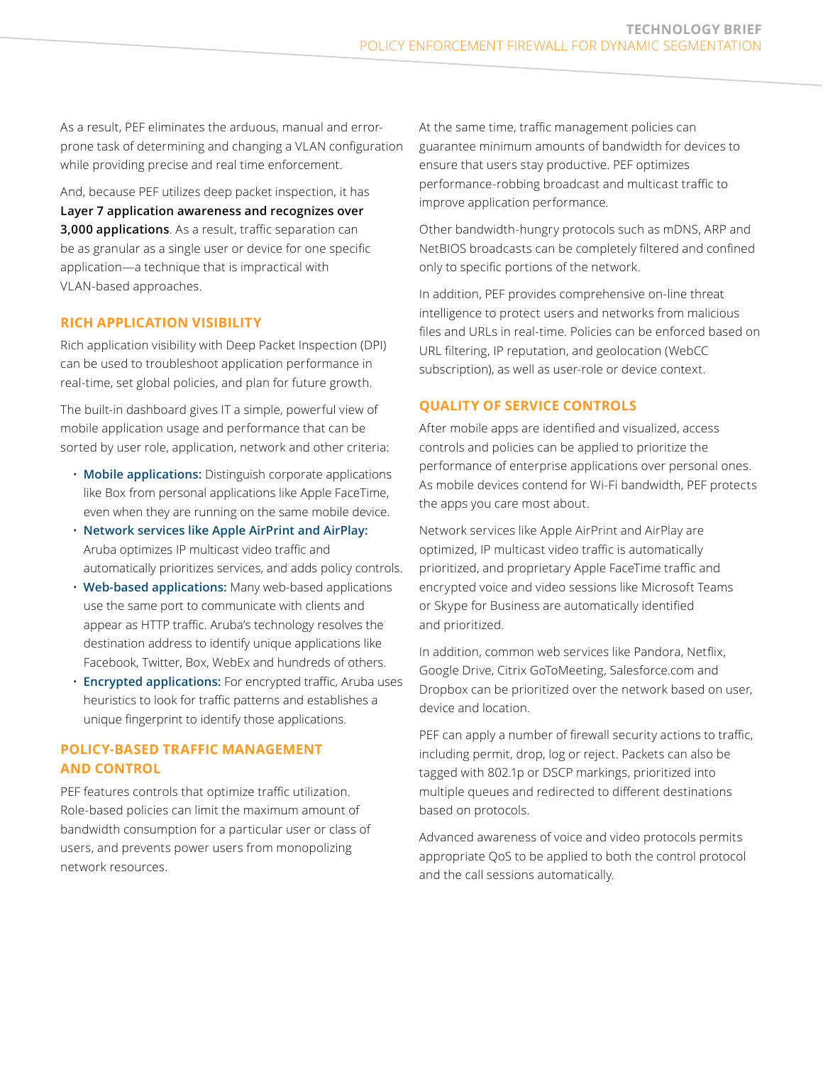As a result, PEF eliminates the arduous, manual and errorprone task of determining and changing a VLAN configuration while providing precise and real time enforcement.

And, because PEF utilizes deep packet inspection, it has **Layer 7 application awareness and recognizes over 3,000 applications**. As a result, traffic separation can be as granular as a single user or device for one specific application—a technique that is impractical with VLAN-based approaches.

#### **RICH APPLICATION VISIBILITY**

Rich application visibility with Deep Packet Inspection (DPI) can be used to troubleshoot application performance in real-time, set global policies, and plan for future growth.

The built-in dashboard gives IT a simple, powerful view of mobile application usage and performance that can be sorted by user role, application, network and other criteria:

- **Mobile applications:** Distinguish corporate applications like Box from personal applications like Apple FaceTime, even when they are running on the same mobile device.
- **Network services like Apple AirPrint and AirPlay:** Aruba optimizes IP multicast video traffic and automatically prioritizes services, and adds policy controls.
- **Web-based applications:** Many web-based applications use the same port to communicate with clients and appear as HTTP traffic. Aruba's technology resolves the destination address to identify unique applications like Facebook, Twitter, Box, WebEx and hundreds of others.
- **Encrypted applications:** For encrypted traffic, Aruba uses heuristics to look for traffic patterns and establishes a unique fingerprint to identify those applications.

# **POLICY-BASED TRAFFIC MANAGEMENT AND CONTROL**

PEF features controls that optimize traffic utilization. Role-based policies can limit the maximum amount of bandwidth consumption for a particular user or class of users, and prevents power users from monopolizing network resources.

At the same time, traffic management policies can guarantee minimum amounts of bandwidth for devices to ensure that users stay productive. PEF optimizes performance-robbing broadcast and multicast traffic to improve application performance.

Other bandwidth-hungry protocols such as mDNS, ARP and NetBIOS broadcasts can be completely filtered and confined only to specific portions of the network.

In addition, PEF provides comprehensive on-line threat intelligence to protect users and networks from malicious files and URLs in real-time. Policies can be enforced based on URL filtering, IP reputation, and geolocation (WebCC subscription), as well as user-role or device context.

## **QUALITY OF SERVICE CONTROLS**

After mobile apps are identified and visualized, access controls and policies can be applied to prioritize the performance of enterprise applications over personal ones. As mobile devices contend for Wi-Fi bandwidth, PEF protects the apps you care most about.

Network services like Apple AirPrint and AirPlay are optimized, IP multicast video traffic is automatically prioritized, and proprietary Apple FaceTime traffic and encrypted voice and video sessions like Microsoft Teams or Skype for Business are automatically identified and prioritized.

In addition, common web services like Pandora, Netflix, Google Drive, Citrix GoToMeeting, Salesforce.com and Dropbox can be prioritized over the network based on user, device and location.

PEF can apply a number of firewall security actions to traffic, including permit, drop, log or reject. Packets can also be tagged with 802.1p or DSCP markings, prioritized into multiple queues and redirected to different destinations based on protocols.

Advanced awareness of voice and video protocols permits appropriate QoS to be applied to both the control protocol and the call sessions automatically.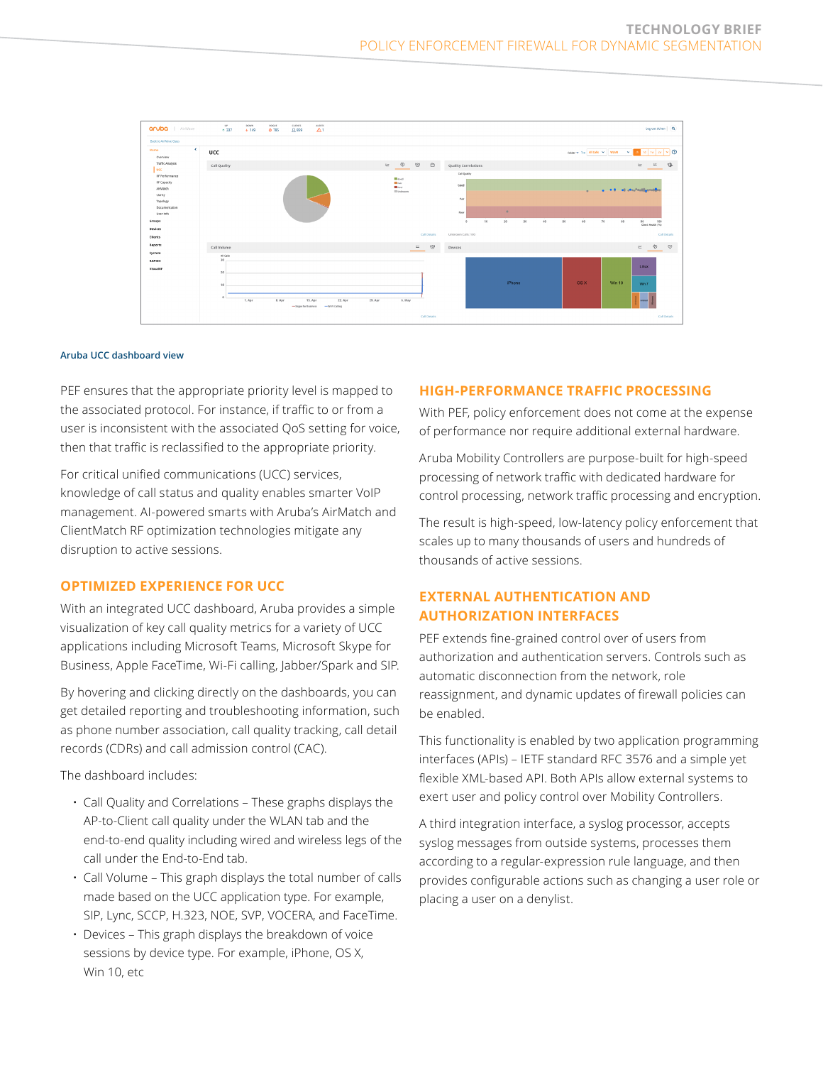

#### **Aruba UCC dashboard view**

PEF ensures that the appropriate priority level is mapped to the associated protocol. For instance, if traffic to or from a user is inconsistent with the associated QoS setting for voice, then that traffic is reclassified to the appropriate priority.

For critical unified communications (UCC) services, knowledge of call status and quality enables smarter VoIP management. AI-powered smarts with Aruba's AirMatch and ClientMatch RF optimization technologies mitigate any disruption to active sessions.

#### **OPTIMIZED EXPERIENCE FOR UCC**

With an integrated UCC dashboard, Aruba provides a simple visualization of key call quality metrics for a variety of UCC applications including Microsoft Teams, Microsoft Skype for Business, Apple FaceTime, Wi-Fi calling, Jabber/Spark and SIP.

By hovering and clicking directly on the dashboards, you can get detailed reporting and troubleshooting information, such as phone number association, call quality tracking, call detail records (CDRs) and call admission control (CAC).

The dashboard includes:

- Call Quality and Correlations These graphs displays the AP-to-Client call quality under the WLAN tab and the end-to-end quality including wired and wireless legs of the call under the End-to-End tab.
- Call Volume This graph displays the total number of calls made based on the UCC application type. For example, SIP, Lync, SCCP, H.323, NOE, SVP, VOCERA, and FaceTime.
- Devices This graph displays the breakdown of voice sessions by device type. For example, iPhone, OS X, Win 10, etc

#### **HIGH-PERFORMANCE TRAFFIC PROCESSING**

With PEF, policy enforcement does not come at the expense of performance nor require additional external hardware.

Aruba Mobility Controllers are purpose-built for high-speed processing of network traffic with dedicated hardware for control processing, network traffic processing and encryption.

The result is high-speed, low-latency policy enforcement that scales up to many thousands of users and hundreds of thousands of active sessions.

# **EXTERNAL AUTHENTICATION AND AUTHORIZATION INTERFACES**

PEF extends fine-grained control over of users from authorization and authentication servers. Controls such as automatic disconnection from the network, role reassignment, and dynamic updates of firewall policies can be enabled.

This functionality is enabled by two application programming interfaces (APIs) – IETF standard RFC 3576 and a simple yet flexible XML-based API. Both APIs allow external systems to exert user and policy control over Mobility Controllers.

A third integration interface, a syslog processor, accepts syslog messages from outside systems, processes them according to a regular-expression rule language, and then provides configurable actions such as changing a user role or placing a user on a denylist.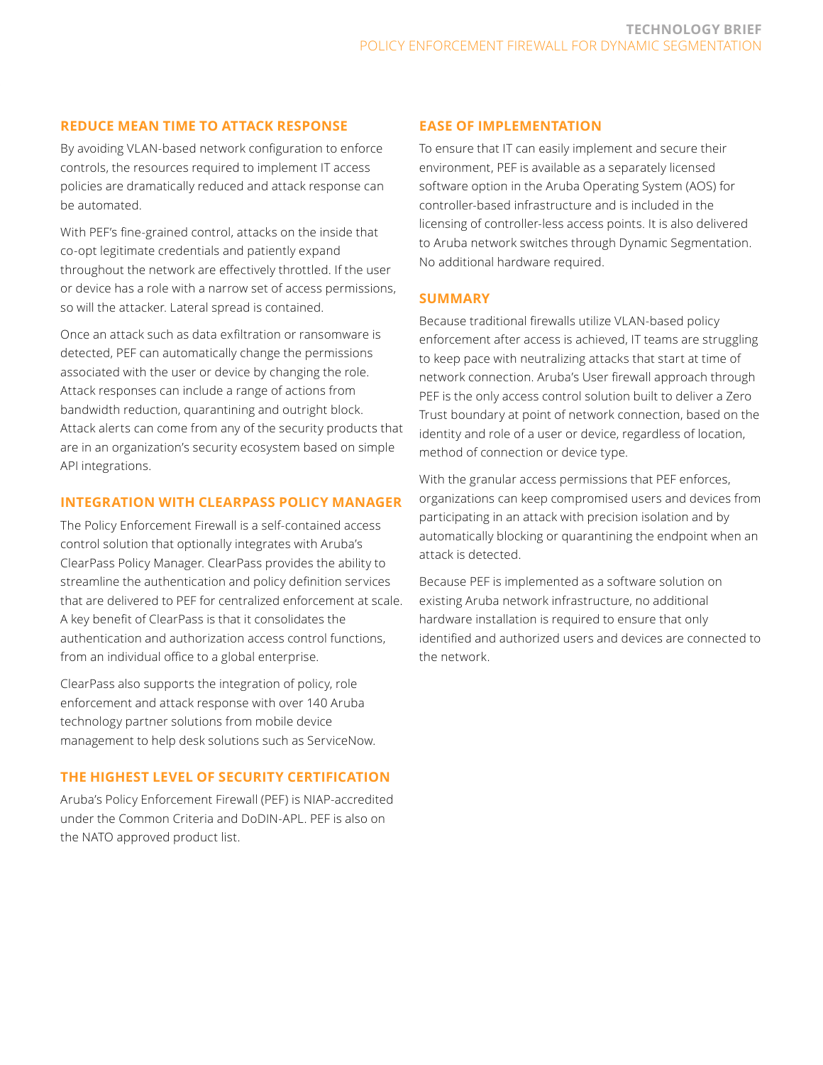## **REDUCE MEAN TIME TO ATTACK RESPONSE**

By avoiding VLAN-based network configuration to enforce controls, the resources required to implement IT access policies are dramatically reduced and attack response can be automated.

With PEF's fine-grained control, attacks on the inside that co-opt legitimate credentials and patiently expand throughout the network are effectively throttled. If the user or device has a role with a narrow set of access permissions, so will the attacker. Lateral spread is contained.

Once an attack such as data exfiltration or ransomware is detected, PEF can automatically change the permissions associated with the user or device by changing the role. Attack responses can include a range of actions from bandwidth reduction, quarantining and outright block. Attack alerts can come from any of the security products that are in an organization's security ecosystem based on simple API integrations.

## **INTEGRATION WITH CLEARPASS POLICY MANAGER**

The Policy Enforcement Firewall is a self-contained access control solution that optionally integrates with Aruba's ClearPass Policy Manager. ClearPass provides the ability to streamline the authentication and policy definition services that are delivered to PEF for centralized enforcement at scale. A key benefit of ClearPass is that it consolidates the authentication and authorization access control functions, from an individual office to a global enterprise.

ClearPass also supports the integration of policy, role enforcement and attack response with over 140 Aruba technology partner solutions from mobile device management to help desk solutions such as ServiceNow.

## **THE HIGHEST LEVEL OF SECURITY CERTIFICATION**

Aruba's Policy Enforcement Firewall (PEF) is NIAP-accredited under the Common Criteria and DoDIN-APL. PEF is also on the NATO approved product list.

#### **EASE OF IMPLEMENTATION**

To ensure that IT can easily implement and secure their environment, PEF is available as a separately licensed software option in the Aruba Operating System (AOS) for controller-based infrastructure and is included in the licensing of controller-less access points. It is also delivered to Aruba network switches through Dynamic Segmentation. No additional hardware required.

#### **SUMMARY**

Because traditional firewalls utilize VLAN-based policy enforcement after access is achieved, IT teams are struggling to keep pace with neutralizing attacks that start at time of network connection. Aruba's User firewall approach through PEF is the only access control solution built to deliver a Zero Trust boundary at point of network connection, based on the identity and role of a user or device, regardless of location, method of connection or device type.

With the granular access permissions that PEF enforces, organizations can keep compromised users and devices from participating in an attack with precision isolation and by automatically blocking or quarantining the endpoint when an attack is detected.

Because PEF is implemented as a software solution on existing Aruba network infrastructure, no additional hardware installation is required to ensure that only identified and authorized users and devices are connected to the network.